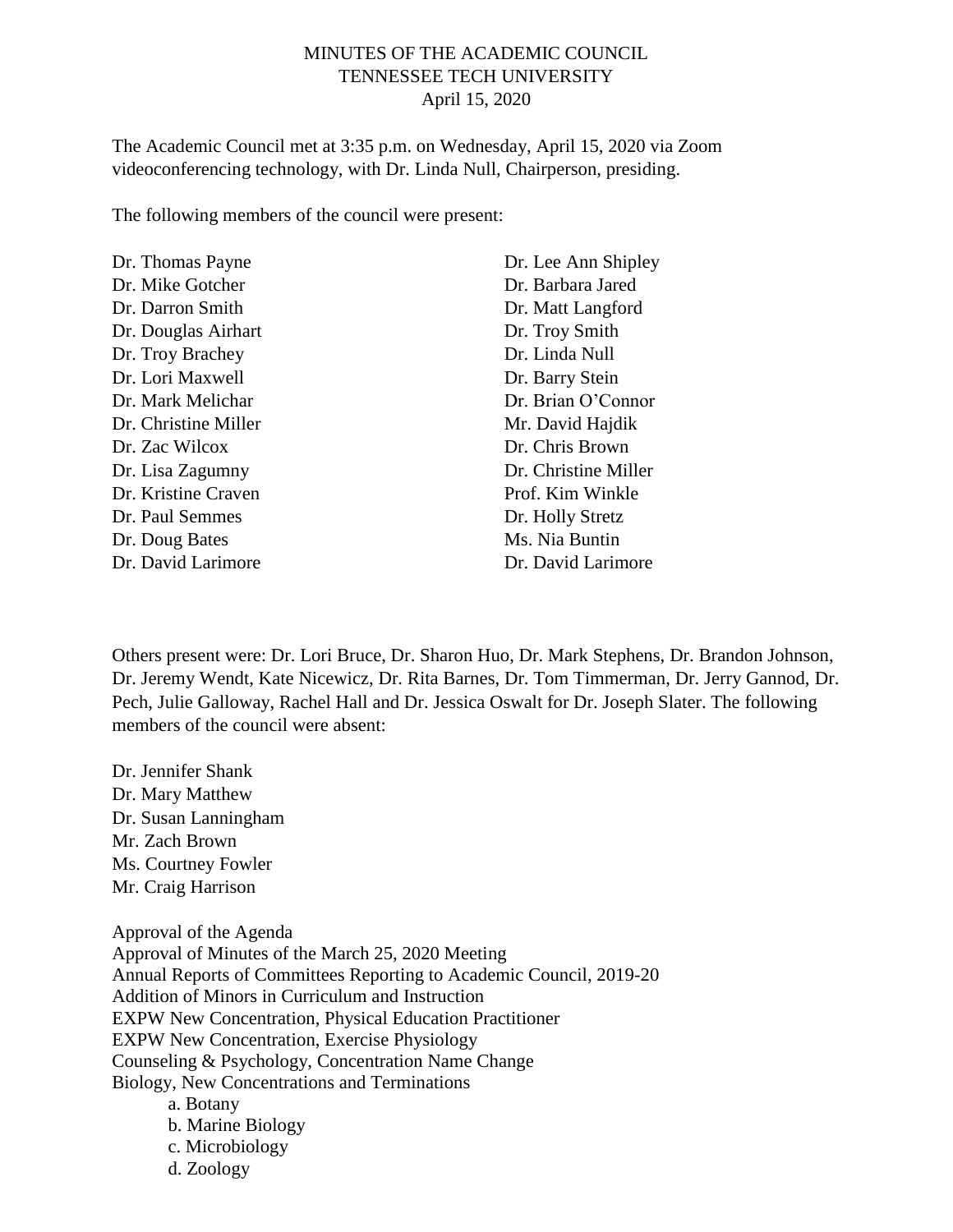# MINUTES OF THE ACADEMIC COUNCIL TENNESSEE TECH UNIVERSITY April 15, 2020

The Academic Council met at 3:35 p.m. on Wednesday, April 15, 2020 via Zoom videoconferencing technology, with Dr. Linda Null, Chairperson, presiding.

The following members of the council were present:

| Dr. Thomas Payne     |
|----------------------|
| Dr. Mike Gotcher     |
| Dr. Darron Smith     |
| Dr. Douglas Airhart  |
| Dr. Troy Brachey     |
| Dr. Lori Maxwell     |
| Dr. Mark Melichar    |
| Dr. Christine Miller |
| Dr. Zac Wilcox       |
| Dr. Lisa Zagumny     |
| Dr. Kristine Craven  |
| Dr. Paul Semmes      |
| Dr. Doug Bates       |
| Dr. David Larimore   |

Dr. Lee Ann Shipley Dr. Barbara Jared Dr. Matt Langford Dr. Troy Smith Dr. Linda Null Dr. Barry Stein Dr. Brian O'Connor Mr. David Hajdik Dr. Chris Brown Dr. Christine Miller Prof. Kim Winkle Dr. Holly Stretz Ms. Nia Buntin Dr. David Larimore

Others present were: Dr. Lori Bruce, Dr. Sharon Huo, Dr. Mark Stephens, Dr. Brandon Johnson, Dr. Jeremy Wendt, Kate Nicewicz, Dr. Rita Barnes, Dr. Tom Timmerman, Dr. Jerry Gannod, Dr. Pech, Julie Galloway, Rachel Hall and Dr. Jessica Oswalt for Dr. Joseph Slater. The following members of the council were absent:

Dr. Jennifer Shank Dr. Mary Matthew Dr. Susan Lanningham Mr. Zach Brown Ms. Courtney Fowler Mr. Craig Harrison

Approval of the Agenda Approval of Minutes of the March 25, 2020 Meeting Annual Reports of Committees Reporting to Academic Council, 2019-20 Addition of Minors in Curriculum and Instruction EXPW New Concentration, Physical Education Practitioner EXPW New Concentration, Exercise Physiology Counseling & Psychology, Concentration Name Change Biology, New Concentrations and Terminations a. Botany b. Marine Biology c. Microbiology

d. Zoology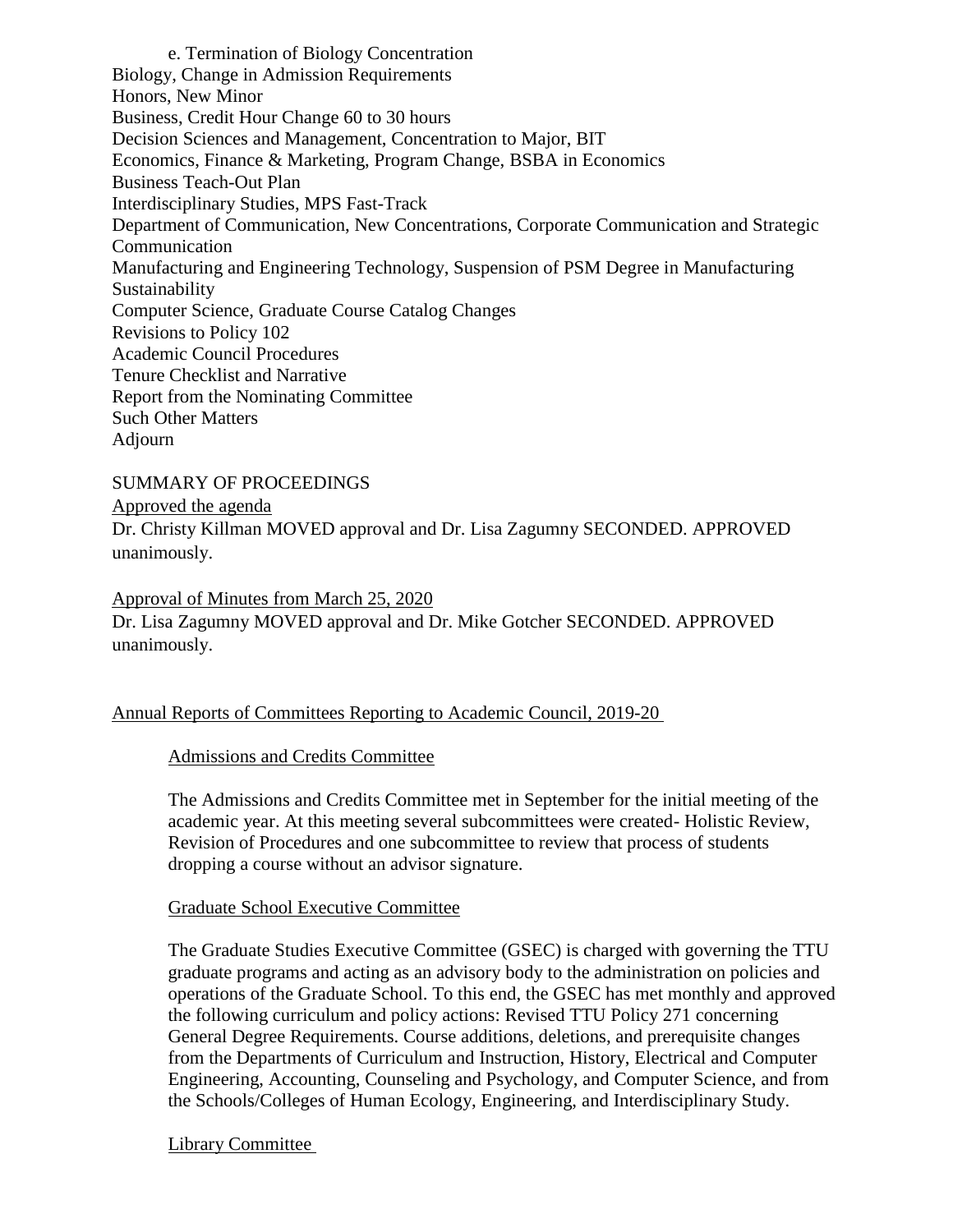e. Termination of Biology Concentration Biology, Change in Admission Requirements Honors, New Minor Business, Credit Hour Change 60 to 30 hours Decision Sciences and Management, Concentration to Major, BIT Economics, Finance & Marketing, Program Change, BSBA in Economics Business Teach-Out Plan Interdisciplinary Studies, MPS Fast-Track Department of Communication, New Concentrations, Corporate Communication and Strategic Communication Manufacturing and Engineering Technology, Suspension of PSM Degree in Manufacturing Sustainability Computer Science, Graduate Course Catalog Changes Revisions to Policy 102 Academic Council Procedures Tenure Checklist and Narrative Report from the Nominating Committee Such Other Matters Adjourn

SUMMARY OF PROCEEDINGS

Approved the agenda

Dr. Christy Killman MOVED approval and Dr. Lisa Zagumny SECONDED. APPROVED unanimously.

Approval of Minutes from March 25, 2020

Dr. Lisa Zagumny MOVED approval and Dr. Mike Gotcher SECONDED. APPROVED unanimously.

#### Annual Reports of Committees Reporting to Academic Council, 2019-20

Admissions and Credits Committee

The Admissions and Credits Committee met in September for the initial meeting of the academic year. At this meeting several subcommittees were created- Holistic Review, Revision of Procedures and one subcommittee to review that process of students dropping a course without an advisor signature.

Graduate School Executive Committee

The Graduate Studies Executive Committee (GSEC) is charged with governing the TTU graduate programs and acting as an advisory body to the administration on policies and operations of the Graduate School. To this end, the GSEC has met monthly and approved the following curriculum and policy actions: Revised TTU Policy 271 concerning General Degree Requirements. Course additions, deletions, and prerequisite changes from the Departments of Curriculum and Instruction, History, Electrical and Computer Engineering, Accounting, Counseling and Psychology, and Computer Science, and from the Schools/Colleges of Human Ecology, Engineering, and Interdisciplinary Study.

Library Committee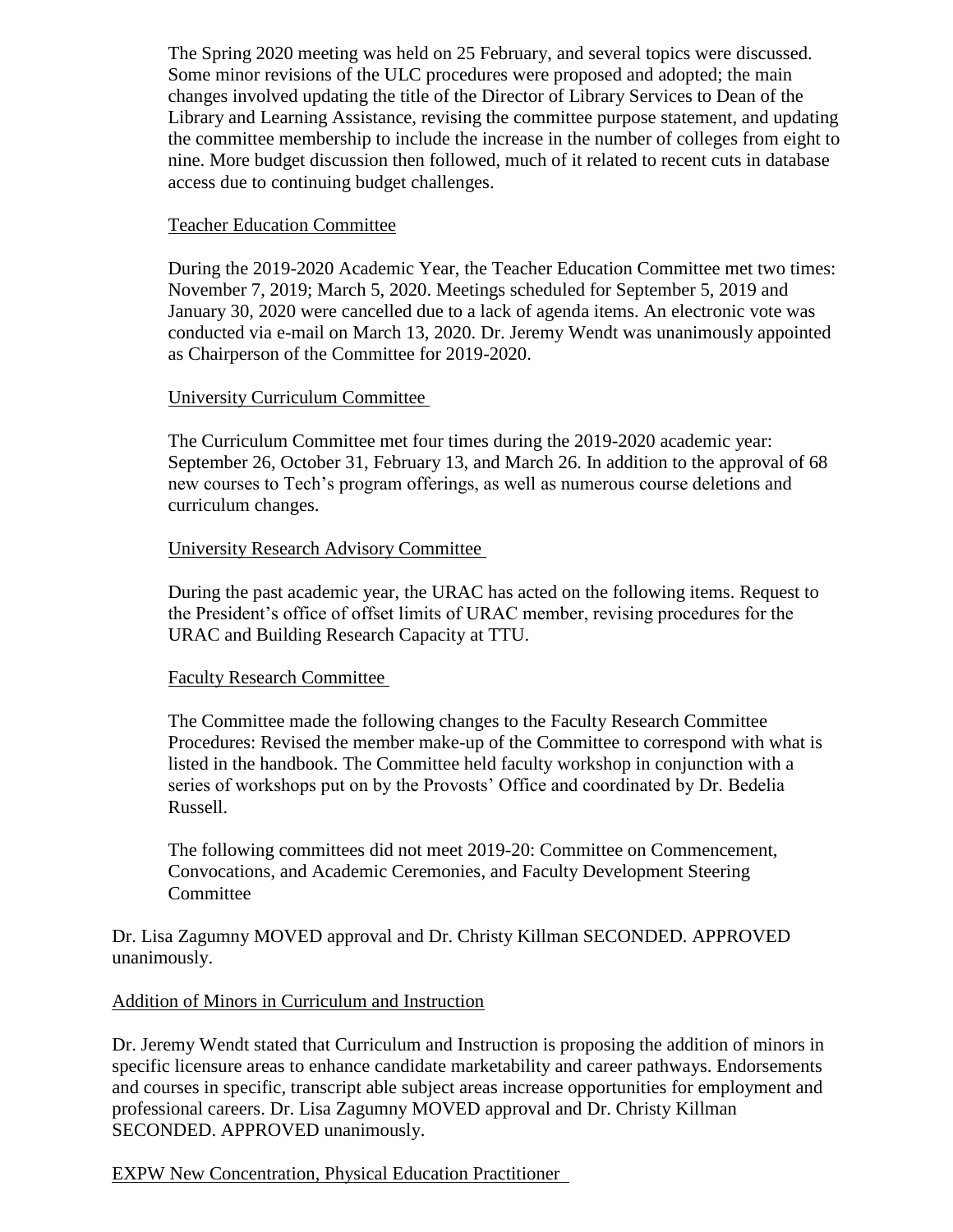The Spring 2020 meeting was held on 25 February, and several topics were discussed. Some minor revisions of the ULC procedures were proposed and adopted; the main changes involved updating the title of the Director of Library Services to Dean of the Library and Learning Assistance, revising the committee purpose statement, and updating the committee membership to include the increase in the number of colleges from eight to nine. More budget discussion then followed, much of it related to recent cuts in database access due to continuing budget challenges.

### Teacher Education Committee

During the 2019-2020 Academic Year, the Teacher Education Committee met two times: November 7, 2019; March 5, 2020. Meetings scheduled for September 5, 2019 and January 30, 2020 were cancelled due to a lack of agenda items. An electronic vote was conducted via e-mail on March 13, 2020. Dr. Jeremy Wendt was unanimously appointed as Chairperson of the Committee for 2019-2020.

## University Curriculum Committee

The Curriculum Committee met four times during the 2019-2020 academic year: September 26, October 31, February 13, and March 26. In addition to the approval of 68 new courses to Tech's program offerings, as well as numerous course deletions and curriculum changes.

## University Research Advisory Committee

During the past academic year, the URAC has acted on the following items. Request to the President's office of offset limits of URAC member, revising procedures for the URAC and Building Research Capacity at TTU.

#### Faculty Research Committee

The Committee made the following changes to the Faculty Research Committee Procedures: Revised the member make-up of the Committee to correspond with what is listed in the handbook. The Committee held faculty workshop in conjunction with a series of workshops put on by the Provosts' Office and coordinated by Dr. Bedelia Russell.

The following committees did not meet 2019-20: Committee on Commencement, Convocations, and Academic Ceremonies, and Faculty Development Steering Committee

## Dr. Lisa Zagumny MOVED approval and Dr. Christy Killman SECONDED. APPROVED unanimously.

# Addition of Minors in Curriculum and Instruction

Dr. Jeremy Wendt stated that Curriculum and Instruction is proposing the addition of minors in specific licensure areas to enhance candidate marketability and career pathways. Endorsements and courses in specific, transcript able subject areas increase opportunities for employment and professional careers. Dr. Lisa Zagumny MOVED approval and Dr. Christy Killman SECONDED. APPROVED unanimously.

# EXPW New Concentration, Physical Education Practitioner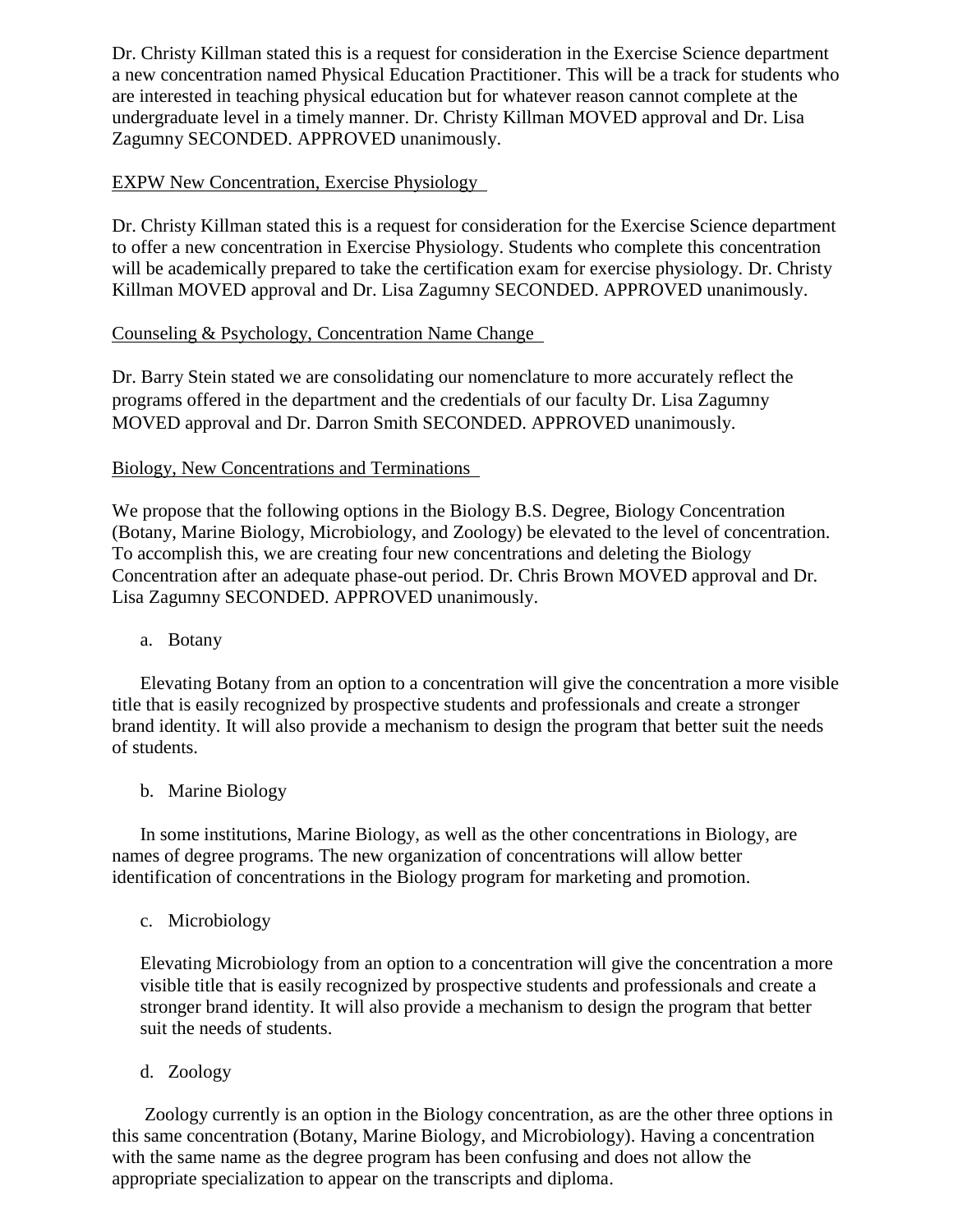Dr. Christy Killman stated this is a request for consideration in the Exercise Science department a new concentration named Physical Education Practitioner. This will be a track for students who are interested in teaching physical education but for whatever reason cannot complete at the undergraduate level in a timely manner. Dr. Christy Killman MOVED approval and Dr. Lisa Zagumny SECONDED. APPROVED unanimously.

## EXPW New Concentration, Exercise Physiology

Dr. Christy Killman stated this is a request for consideration for the Exercise Science department to offer a new concentration in Exercise Physiology. Students who complete this concentration will be academically prepared to take the certification exam for exercise physiology. Dr. Christy Killman MOVED approval and Dr. Lisa Zagumny SECONDED. APPROVED unanimously.

## Counseling & Psychology, Concentration Name Change

Dr. Barry Stein stated we are consolidating our nomenclature to more accurately reflect the programs offered in the department and the credentials of our faculty Dr. Lisa Zagumny MOVED approval and Dr. Darron Smith SECONDED. APPROVED unanimously.

## Biology, New Concentrations and Terminations

We propose that the following options in the Biology B.S. Degree, Biology Concentration (Botany, Marine Biology, Microbiology, and Zoology) be elevated to the level of concentration. To accomplish this, we are creating four new concentrations and deleting the Biology Concentration after an adequate phase-out period. Dr. Chris Brown MOVED approval and Dr. Lisa Zagumny SECONDED. APPROVED unanimously.

#### a. Botany

Elevating Botany from an option to a concentration will give the concentration a more visible title that is easily recognized by prospective students and professionals and create a stronger brand identity. It will also provide a mechanism to design the program that better suit the needs of students.

#### b. Marine Biology

In some institutions, Marine Biology, as well as the other concentrations in Biology, are names of degree programs. The new organization of concentrations will allow better identification of concentrations in the Biology program for marketing and promotion.

#### c. Microbiology

Elevating Microbiology from an option to a concentration will give the concentration a more visible title that is easily recognized by prospective students and professionals and create a stronger brand identity. It will also provide a mechanism to design the program that better suit the needs of students.

#### d. Zoology

Zoology currently is an option in the Biology concentration, as are the other three options in this same concentration (Botany, Marine Biology, and Microbiology). Having a concentration with the same name as the degree program has been confusing and does not allow the appropriate specialization to appear on the transcripts and diploma.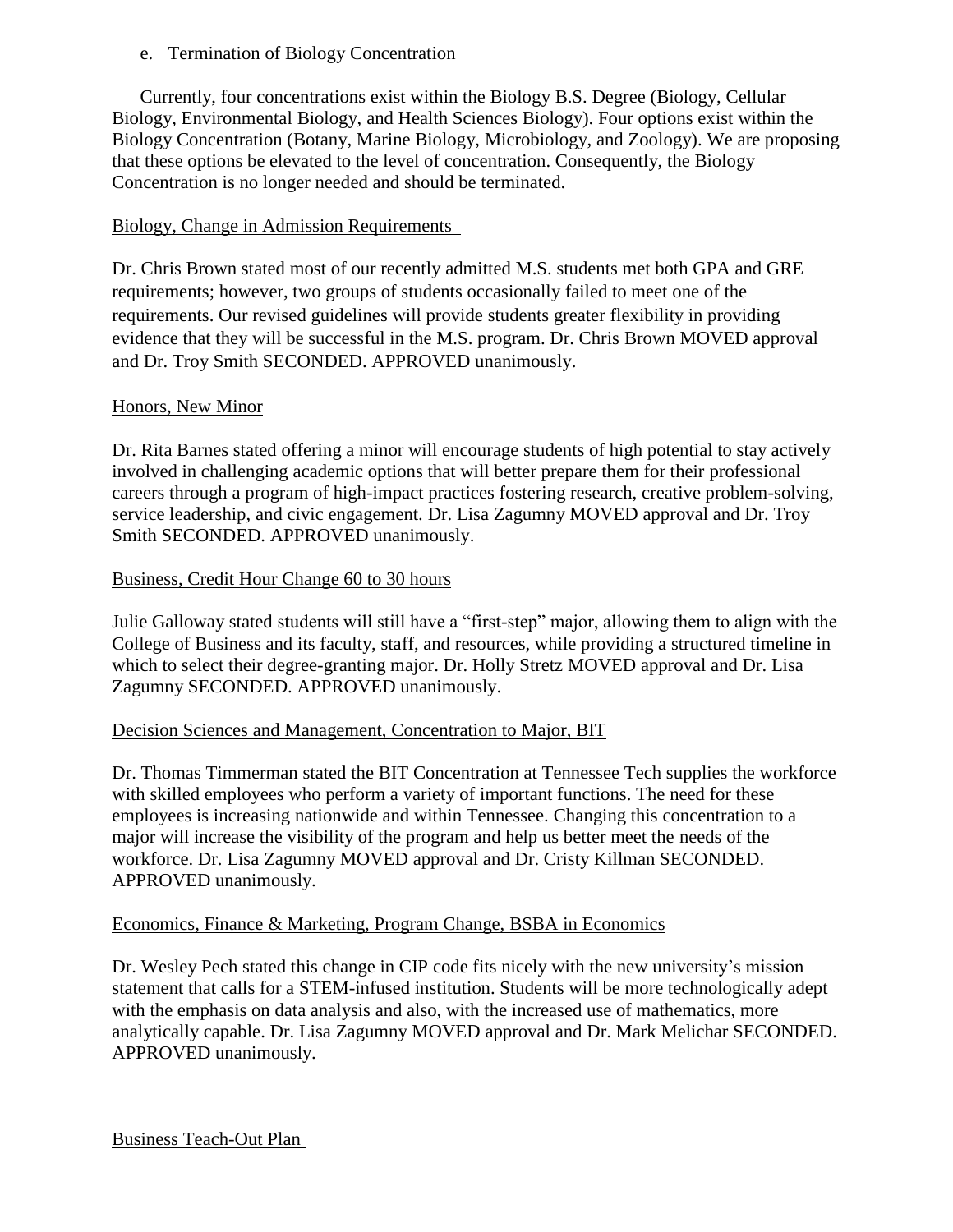### e. Termination of Biology Concentration

Currently, four concentrations exist within the Biology B.S. Degree (Biology, Cellular Biology, Environmental Biology, and Health Sciences Biology). Four options exist within the Biology Concentration (Botany, Marine Biology, Microbiology, and Zoology). We are proposing that these options be elevated to the level of concentration. Consequently, the Biology Concentration is no longer needed and should be terminated.

# Biology, Change in Admission Requirements

Dr. Chris Brown stated most of our recently admitted M.S. students met both GPA and GRE requirements; however, two groups of students occasionally failed to meet one of the requirements. Our revised guidelines will provide students greater flexibility in providing evidence that they will be successful in the M.S. program. Dr. Chris Brown MOVED approval and Dr. Troy Smith SECONDED. APPROVED unanimously.

## Honors, New Minor

Dr. Rita Barnes stated offering a minor will encourage students of high potential to stay actively involved in challenging academic options that will better prepare them for their professional careers through a program of high-impact practices fostering research, creative problem-solving, service leadership, and civic engagement. Dr. Lisa Zagumny MOVED approval and Dr. Troy Smith SECONDED. APPROVED unanimously.

## Business, Credit Hour Change 60 to 30 hours

Julie Galloway stated students will still have a "first-step" major, allowing them to align with the College of Business and its faculty, staff, and resources, while providing a structured timeline in which to select their degree-granting major. Dr. Holly Stretz MOVED approval and Dr. Lisa Zagumny SECONDED. APPROVED unanimously.

#### Decision Sciences and Management, Concentration to Major, BIT

Dr. Thomas Timmerman stated the BIT Concentration at Tennessee Tech supplies the workforce with skilled employees who perform a variety of important functions. The need for these employees is increasing nationwide and within Tennessee. Changing this concentration to a major will increase the visibility of the program and help us better meet the needs of the workforce. Dr. Lisa Zagumny MOVED approval and Dr. Cristy Killman SECONDED. APPROVED unanimously.

#### Economics, Finance & Marketing, Program Change, BSBA in Economics

Dr. Wesley Pech stated this change in CIP code fits nicely with the new university's mission statement that calls for a STEM-infused institution. Students will be more technologically adept with the emphasis on data analysis and also, with the increased use of mathematics, more analytically capable. Dr. Lisa Zagumny MOVED approval and Dr. Mark Melichar SECONDED. APPROVED unanimously.

Business Teach-Out Plan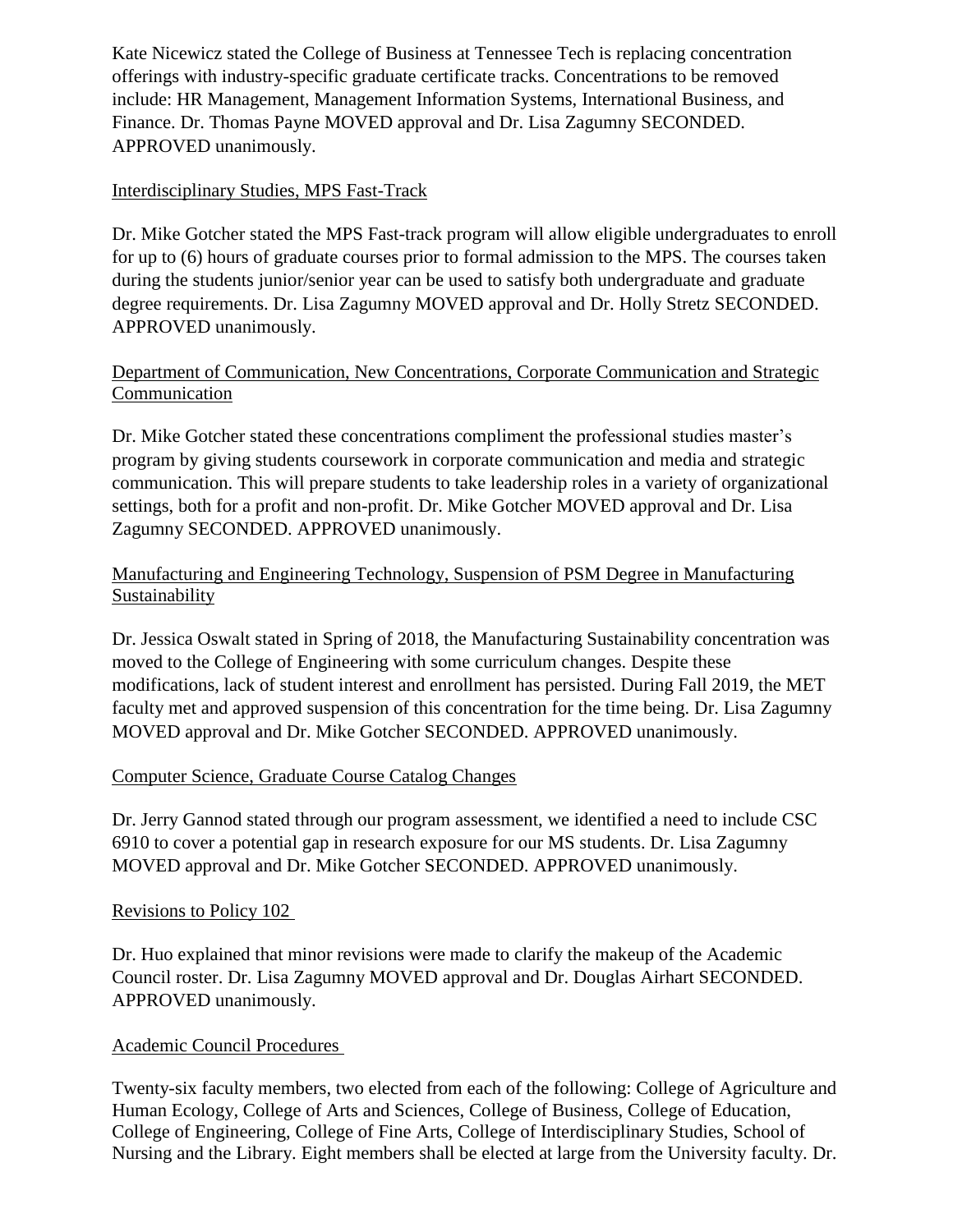Kate Nicewicz stated the College of Business at Tennessee Tech is replacing concentration offerings with industry-specific graduate certificate tracks. Concentrations to be removed include: HR Management, Management Information Systems, International Business, and Finance. Dr. Thomas Payne MOVED approval and Dr. Lisa Zagumny SECONDED. APPROVED unanimously.

# Interdisciplinary Studies, MPS Fast-Track

Dr. Mike Gotcher stated the MPS Fast-track program will allow eligible undergraduates to enroll for up to (6) hours of graduate courses prior to formal admission to the MPS. The courses taken during the students junior/senior year can be used to satisfy both undergraduate and graduate degree requirements. Dr. Lisa Zagumny MOVED approval and Dr. Holly Stretz SECONDED. APPROVED unanimously.

# Department of Communication, New Concentrations, Corporate Communication and Strategic Communication

Dr. Mike Gotcher stated these concentrations compliment the professional studies master's program by giving students coursework in corporate communication and media and strategic communication. This will prepare students to take leadership roles in a variety of organizational settings, both for a profit and non-profit. Dr. Mike Gotcher MOVED approval and Dr. Lisa Zagumny SECONDED. APPROVED unanimously.

# Manufacturing and Engineering Technology, Suspension of PSM Degree in Manufacturing Sustainability

Dr. Jessica Oswalt stated in Spring of 2018, the Manufacturing Sustainability concentration was moved to the College of Engineering with some curriculum changes. Despite these modifications, lack of student interest and enrollment has persisted. During Fall 2019, the MET faculty met and approved suspension of this concentration for the time being. Dr. Lisa Zagumny MOVED approval and Dr. Mike Gotcher SECONDED. APPROVED unanimously.

# Computer Science, Graduate Course Catalog Changes

Dr. Jerry Gannod stated through our program assessment, we identified a need to include CSC 6910 to cover a potential gap in research exposure for our MS students. Dr. Lisa Zagumny MOVED approval and Dr. Mike Gotcher SECONDED. APPROVED unanimously.

# Revisions to Policy 102

Dr. Huo explained that minor revisions were made to clarify the makeup of the Academic Council roster. Dr. Lisa Zagumny MOVED approval and Dr. Douglas Airhart SECONDED. APPROVED unanimously.

# Academic Council Procedures

Twenty-six faculty members, two elected from each of the following: College of Agriculture and Human Ecology, College of Arts and Sciences, College of Business, College of Education, College of Engineering, College of Fine Arts, College of Interdisciplinary Studies, School of Nursing and the Library. Eight members shall be elected at large from the University faculty. Dr.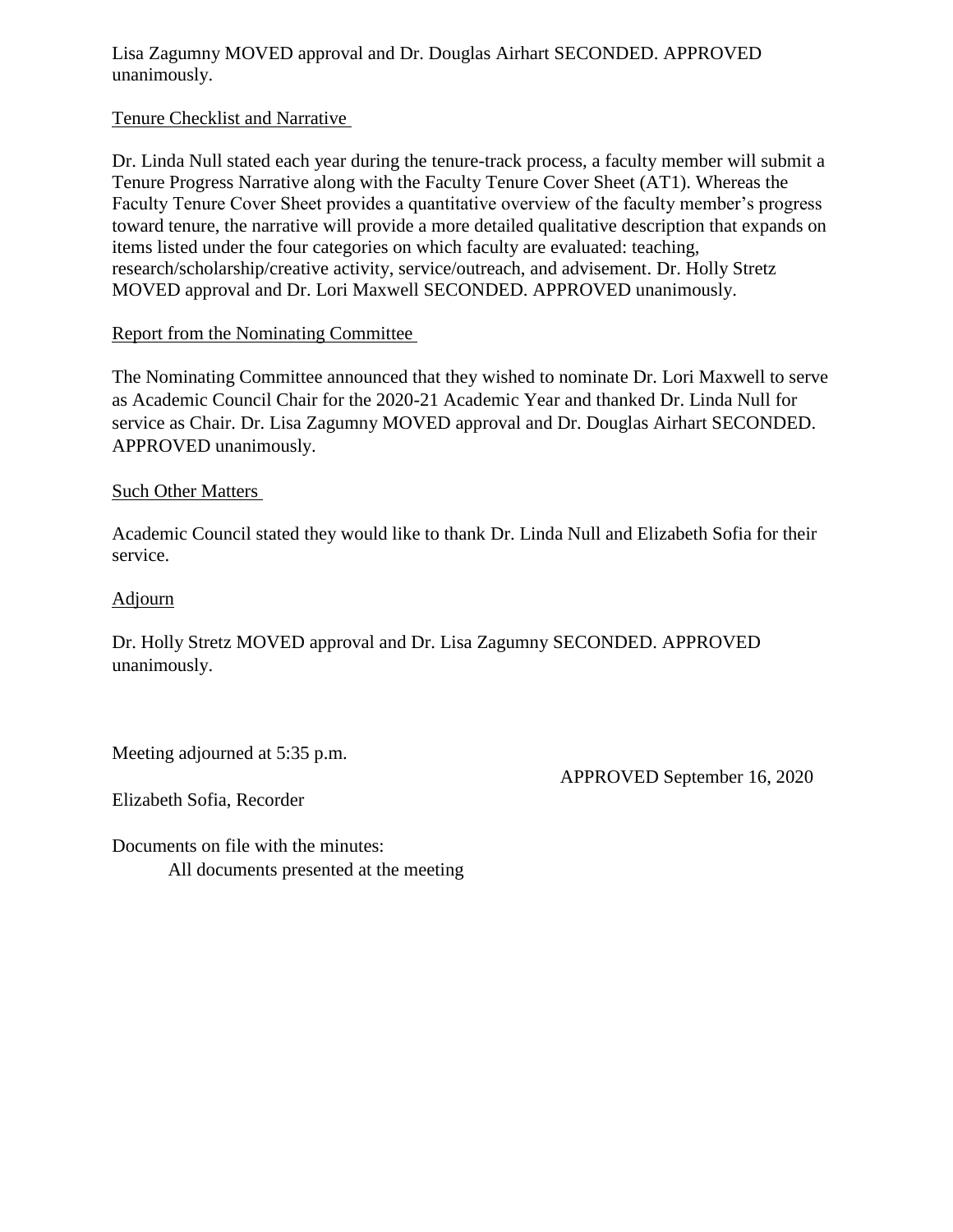Lisa Zagumny MOVED approval and Dr. Douglas Airhart SECONDED. APPROVED unanimously.

## Tenure Checklist and Narrative

Dr. Linda Null stated each year during the tenure-track process, a faculty member will submit a Tenure Progress Narrative along with the Faculty Tenure Cover Sheet (AT1). Whereas the Faculty Tenure Cover Sheet provides a quantitative overview of the faculty member's progress toward tenure, the narrative will provide a more detailed qualitative description that expands on items listed under the four categories on which faculty are evaluated: teaching, research/scholarship/creative activity, service/outreach, and advisement. Dr. Holly Stretz MOVED approval and Dr. Lori Maxwell SECONDED. APPROVED unanimously.

## Report from the Nominating Committee

The Nominating Committee announced that they wished to nominate Dr. Lori Maxwell to serve as Academic Council Chair for the 2020-21 Academic Year and thanked Dr. Linda Null for service as Chair. Dr. Lisa Zagumny MOVED approval and Dr. Douglas Airhart SECONDED. APPROVED unanimously.

#### Such Other Matters

Academic Council stated they would like to thank Dr. Linda Null and Elizabeth Sofia for their service.

#### Adjourn

Dr. Holly Stretz MOVED approval and Dr. Lisa Zagumny SECONDED. APPROVED unanimously.

Meeting adjourned at 5:35 p.m.

APPROVED September 16, 2020

Elizabeth Sofia, Recorder

Documents on file with the minutes: All documents presented at the meeting